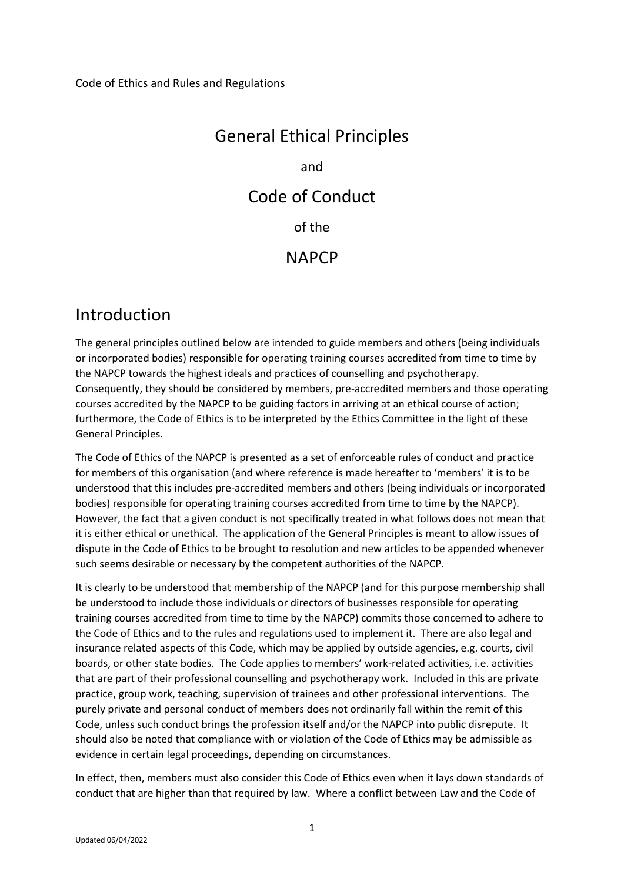# General Ethical Principles and Code of Conduct of the **NAPCP**

## Introduction

The general principles outlined below are intended to guide members and others (being individuals or incorporated bodies) responsible for operating training courses accredited from time to time by the NAPCP towards the highest ideals and practices of counselling and psychotherapy. Consequently, they should be considered by members, pre-accredited members and those operating courses accredited by the NAPCP to be guiding factors in arriving at an ethical course of action; furthermore, the Code of Ethics is to be interpreted by the Ethics Committee in the light of these General Principles.

The Code of Ethics of the NAPCP is presented as a set of enforceable rules of conduct and practice for members of this organisation (and where reference is made hereafter to 'members' it is to be understood that this includes pre-accredited members and others (being individuals or incorporated bodies) responsible for operating training courses accredited from time to time by the NAPCP). However, the fact that a given conduct is not specifically treated in what follows does not mean that it is either ethical or unethical. The application of the General Principles is meant to allow issues of dispute in the Code of Ethics to be brought to resolution and new articles to be appended whenever such seems desirable or necessary by the competent authorities of the NAPCP.

It is clearly to be understood that membership of the NAPCP (and for this purpose membership shall be understood to include those individuals or directors of businesses responsible for operating training courses accredited from time to time by the NAPCP) commits those concerned to adhere to the Code of Ethics and to the rules and regulations used to implement it. There are also legal and insurance related aspects of this Code, which may be applied by outside agencies, e.g. courts, civil boards, or other state bodies. The Code applies to members' work-related activities, i.e. activities that are part of their professional counselling and psychotherapy work. Included in this are private practice, group work, teaching, supervision of trainees and other professional interventions. The purely private and personal conduct of members does not ordinarily fall within the remit of this Code, unless such conduct brings the profession itself and/or the NAPCP into public disrepute. It should also be noted that compliance with or violation of the Code of Ethics may be admissible as evidence in certain legal proceedings, depending on circumstances.

In effect, then, members must also consider this Code of Ethics even when it lays down standards of conduct that are higher than that required by law. Where a conflict between Law and the Code of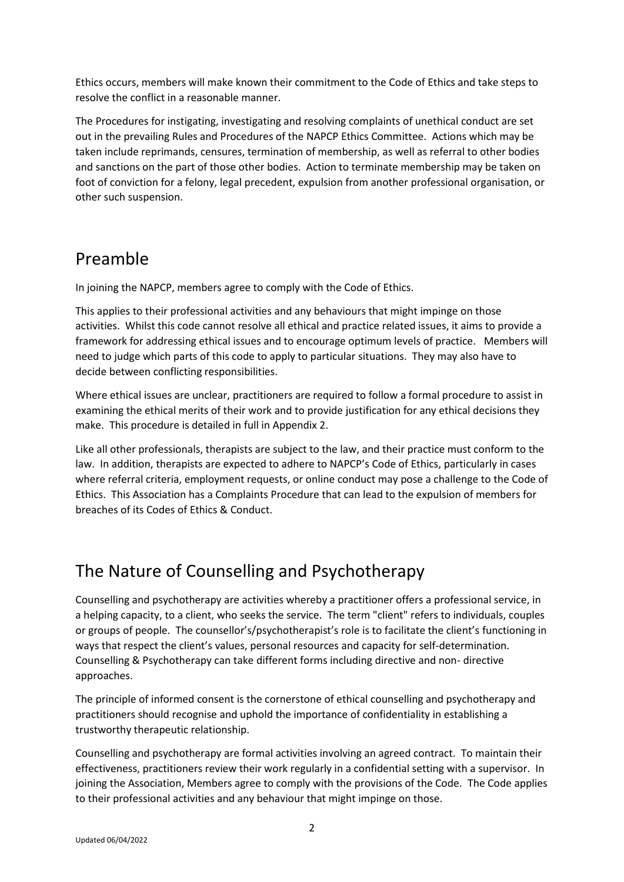Ethics occurs, members will make known their commitment to the Code of Ethics and take steps to resolve the conflict in a reasonable manner.

The Procedures for instigating, investigating and resolving complaints of unethical conduct are set out in the prevailing Rules and Procedures of the NAPCP Ethics Committee. Actions which may be taken include reprimands, censures, termination of membership, as well as referral to other bodies and sanctions on the part of those other bodies. Action to terminate membership may be taken on foot of conviction for a felony, legal precedent, expulsion from another professional organisation, or other such suspension.

## Preamble

In joining the NAPCP, members agree to comply with the Code of Ethics.

This applies to their professional activities and any behaviours that might impinge on those activities. Whilst this code cannot resolve all ethical and practice related issues, it aims to provide a framework for addressing ethical issues and to encourage optimum levels of practice. Members will need to judge which parts of this code to apply to particular situations. They may also have to decide between conflicting responsibilities.

Where ethical issues are unclear, practitioners are required to follow a formal procedure to assist in examining the ethical merits of their work and to provide justification for any ethical decisions they make. This procedure is detailed in full in Appendix 2.

Like all other professionals, therapists are subject to the law, and their practice must conform to the law. In addition, therapists are expected to adhere to NAPCP's Code of Ethics, particularly in cases where referral criteria, employment requests, or online conduct may pose a challenge to the Code of Ethics. This Association has a Complaints Procedure that can lead to the expulsion of members for breaches of its Codes of Ethics & Conduct.

## The Nature of Counselling and Psychotherapy

Counselling and psychotherapy are activities whereby a practitioner offers a professional service, in a helping capacity, to a client, who seeks the service. The term "client" refers to individuals, couples or groups of people. The counsellor's/psychotherapist's role is to facilitate the client's functioning in ways that respect the client's values, personal resources and capacity for self-determination. Counselling & Psychotherapy can take different forms including directive and non- directive approaches.

The principle of informed consent is the cornerstone of ethical counselling and psychotherapy and practitioners should recognise and uphold the importance of confidentiality in establishing a trustworthy therapeutic relationship.

Counselling and psychotherapy are formal activities involving an agreed contract. To maintain their effectiveness, practitioners review their work regularly in a confidential setting with a supervisor. In joining the Association, Members agree to comply with the provisions of the Code. The Code applies to their professional activities and any behaviour that might impinge on those.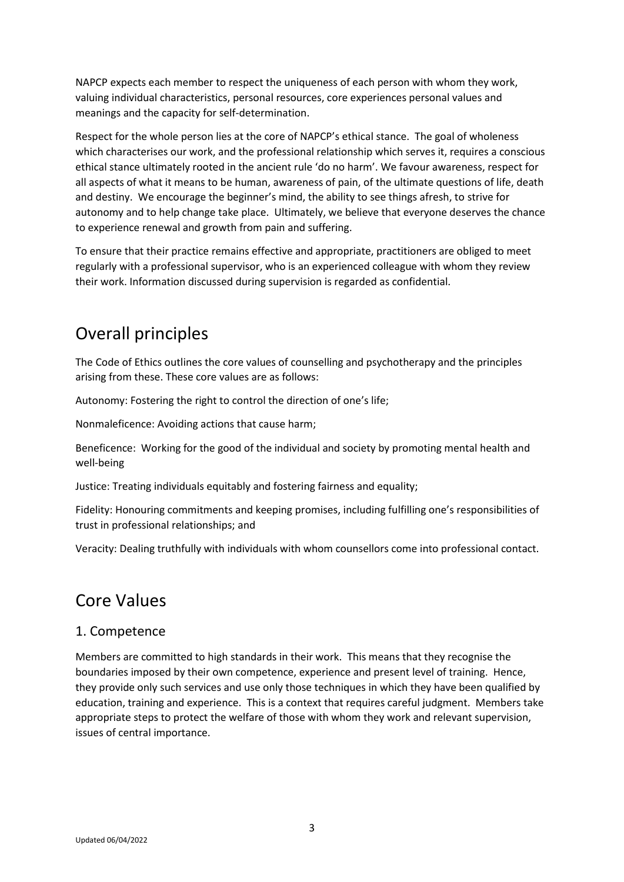NAPCP expects each member to respect the uniqueness of each person with whom they work, valuing individual characteristics, personal resources, core experiences personal values and meanings and the capacity for self-determination.

Respect for the whole person lies at the core of NAPCP's ethical stance. The goal of wholeness which characterises our work, and the professional relationship which serves it, requires a conscious ethical stance ultimately rooted in the ancient rule 'do no harm'. We favour awareness, respect for all aspects of what it means to be human, awareness of pain, of the ultimate questions of life, death and destiny. We encourage the beginner's mind, the ability to see things afresh, to strive for autonomy and to help change take place. Ultimately, we believe that everyone deserves the chance to experience renewal and growth from pain and suffering.

To ensure that their practice remains effective and appropriate, practitioners are obliged to meet regularly with a professional supervisor, who is an experienced colleague with whom they review their work. Information discussed during supervision is regarded as confidential.

## Overall principles

The Code of Ethics outlines the core values of counselling and psychotherapy and the principles arising from these. These core values are as follows:

Autonomy: Fostering the right to control the direction of one's life;

Nonmaleficence: Avoiding actions that cause harm;

Beneficence: Working for the good of the individual and society by promoting mental health and well-being

Justice: Treating individuals equitably and fostering fairness and equality;

Fidelity: Honouring commitments and keeping promises, including fulfilling one's responsibilities of trust in professional relationships; and

Veracity: Dealing truthfully with individuals with whom counsellors come into professional contact.

## Core Values

## 1. Competence

Members are committed to high standards in their work. This means that they recognise the boundaries imposed by their own competence, experience and present level of training. Hence, they provide only such services and use only those techniques in which they have been qualified by education, training and experience. This is a context that requires careful judgment. Members take appropriate steps to protect the welfare of those with whom they work and relevant supervision, issues of central importance.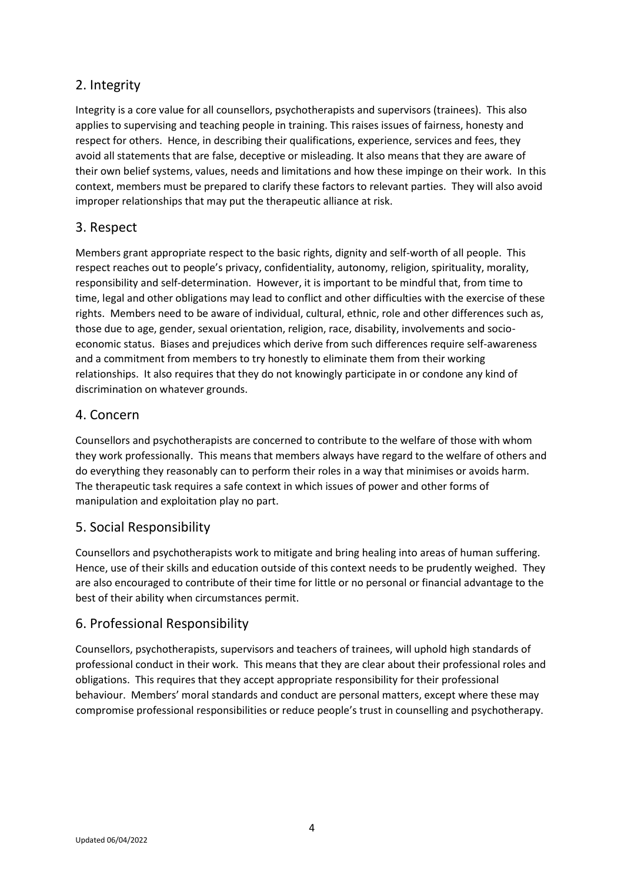## 2. Integrity

Integrity is a core value for all counsellors, psychotherapists and supervisors (trainees). This also applies to supervising and teaching people in training. This raises issues of fairness, honesty and respect for others. Hence, in describing their qualifications, experience, services and fees, they avoid all statements that are false, deceptive or misleading. It also means that they are aware of their own belief systems, values, needs and limitations and how these impinge on their work. In this context, members must be prepared to clarify these factors to relevant parties. They will also avoid improper relationships that may put the therapeutic alliance at risk.

## 3. Respect

Members grant appropriate respect to the basic rights, dignity and self-worth of all people. This respect reaches out to people's privacy, confidentiality, autonomy, religion, spirituality, morality, responsibility and self-determination. However, it is important to be mindful that, from time to time, legal and other obligations may lead to conflict and other difficulties with the exercise of these rights. Members need to be aware of individual, cultural, ethnic, role and other differences such as, those due to age, gender, sexual orientation, religion, race, disability, involvements and socioeconomic status. Biases and prejudices which derive from such differences require self-awareness and a commitment from members to try honestly to eliminate them from their working relationships. It also requires that they do not knowingly participate in or condone any kind of discrimination on whatever grounds.

#### 4. Concern

Counsellors and psychotherapists are concerned to contribute to the welfare of those with whom they work professionally. This means that members always have regard to the welfare of others and do everything they reasonably can to perform their roles in a way that minimises or avoids harm. The therapeutic task requires a safe context in which issues of power and other forms of manipulation and exploitation play no part.

## 5. Social Responsibility

Counsellors and psychotherapists work to mitigate and bring healing into areas of human suffering. Hence, use of their skills and education outside of this context needs to be prudently weighed. They are also encouraged to contribute of their time for little or no personal or financial advantage to the best of their ability when circumstances permit.

#### 6. Professional Responsibility

Counsellors, psychotherapists, supervisors and teachers of trainees, will uphold high standards of professional conduct in their work. This means that they are clear about their professional roles and obligations. This requires that they accept appropriate responsibility for their professional behaviour. Members' moral standards and conduct are personal matters, except where these may compromise professional responsibilities or reduce people's trust in counselling and psychotherapy.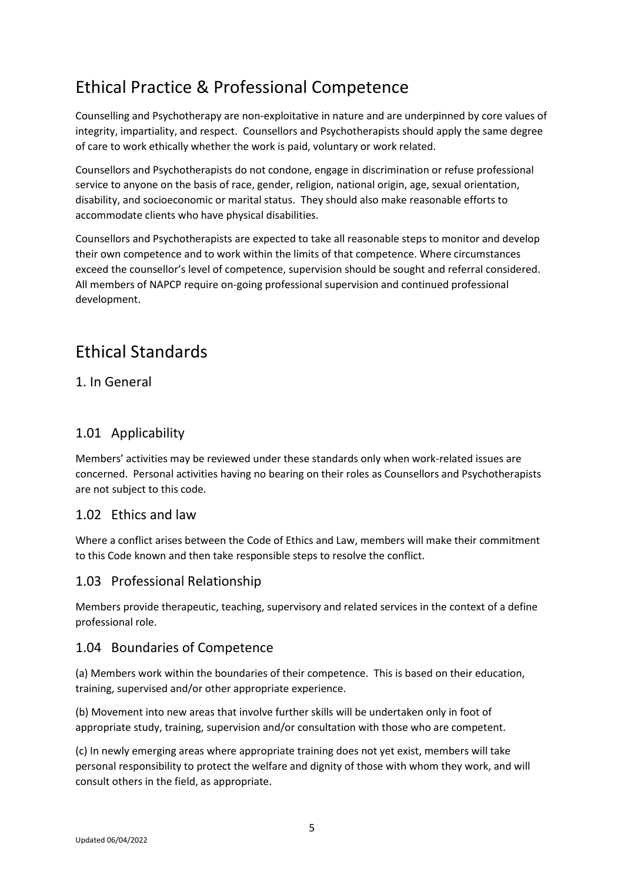## Ethical Practice & Professional Competence

Counselling and Psychotherapy are non-exploitative in nature and are underpinned by core values of integrity, impartiality, and respect. Counsellors and Psychotherapists should apply the same degree of care to work ethically whether the work is paid, voluntary or work related.

Counsellors and Psychotherapists do not condone, engage in discrimination or refuse professional service to anyone on the basis of race, gender, religion, national origin, age, sexual orientation, disability, and socioeconomic or marital status. They should also make reasonable efforts to accommodate clients who have physical disabilities.

Counsellors and Psychotherapists are expected to take all reasonable steps to monitor and develop their own competence and to work within the limits of that competence. Where circumstances exceed the counsellor's level of competence, supervision should be sought and referral considered. All members of NAPCP require on-going professional supervision and continued professional development.

## Ethical Standards

## 1. In General

## 1.01 Applicability

Members' activities may be reviewed under these standards only when work-related issues are concerned. Personal activities having no bearing on their roles as Counsellors and Psychotherapists are not subject to this code.

## 1.02 Ethics and law

Where a conflict arises between the Code of Ethics and Law, members will make their commitment to this Code known and then take responsible steps to resolve the conflict.

#### 1.03 Professional Relationship

Members provide therapeutic, teaching, supervisory and related services in the context of a define professional role.

## 1.04 Boundaries of Competence

(a) Members work within the boundaries of their competence. This is based on their education, training, supervised and/or other appropriate experience.

(b) Movement into new areas that involve further skills will be undertaken only in foot of appropriate study, training, supervision and/or consultation with those who are competent.

(c) In newly emerging areas where appropriate training does not yet exist, members will take personal responsibility to protect the welfare and dignity of those with whom they work, and will consult others in the field, as appropriate.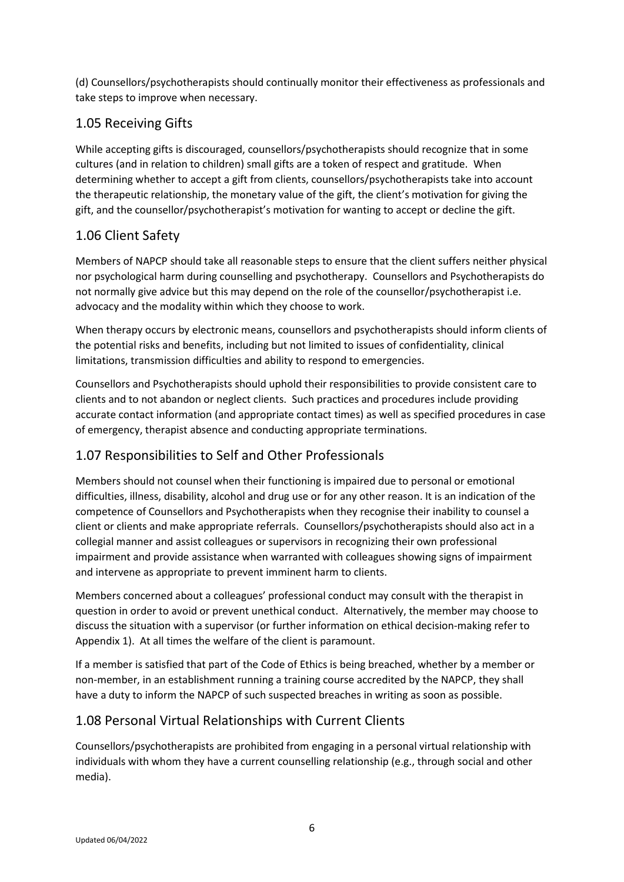(d) Counsellors/psychotherapists should continually monitor their effectiveness as professionals and take steps to improve when necessary.

## 1.05 Receiving Gifts

While accepting gifts is discouraged, counsellors/psychotherapists should recognize that in some cultures (and in relation to children) small gifts are a token of respect and gratitude. When determining whether to accept a gift from clients, counsellors/psychotherapists take into account the therapeutic relationship, the monetary value of the gift, the client's motivation for giving the gift, and the counsellor/psychotherapist's motivation for wanting to accept or decline the gift.

## 1.06 Client Safety

Members of NAPCP should take all reasonable steps to ensure that the client suffers neither physical nor psychological harm during counselling and psychotherapy. Counsellors and Psychotherapists do not normally give advice but this may depend on the role of the counsellor/psychotherapist i.e. advocacy and the modality within which they choose to work.

When therapy occurs by electronic means, counsellors and psychotherapists should inform clients of the potential risks and benefits, including but not limited to issues of confidentiality, clinical limitations, transmission difficulties and ability to respond to emergencies.

Counsellors and Psychotherapists should uphold their responsibilities to provide consistent care to clients and to not abandon or neglect clients. Such practices and procedures include providing accurate contact information (and appropriate contact times) as well as specified procedures in case of emergency, therapist absence and conducting appropriate terminations.

## 1.07 Responsibilities to Self and Other Professionals

Members should not counsel when their functioning is impaired due to personal or emotional difficulties, illness, disability, alcohol and drug use or for any other reason. It is an indication of the competence of Counsellors and Psychotherapists when they recognise their inability to counsel a client or clients and make appropriate referrals. Counsellors/psychotherapists should also act in a collegial manner and assist colleagues or supervisors in recognizing their own professional impairment and provide assistance when warranted with colleagues showing signs of impairment and intervene as appropriate to prevent imminent harm to clients.

Members concerned about a colleagues' professional conduct may consult with the therapist in question in order to avoid or prevent unethical conduct. Alternatively, the member may choose to discuss the situation with a supervisor (or further information on ethical decision-making refer to Appendix 1). At all times the welfare of the client is paramount.

If a member is satisfied that part of the Code of Ethics is being breached, whether by a member or non-member, in an establishment running a training course accredited by the NAPCP, they shall have a duty to inform the NAPCP of such suspected breaches in writing as soon as possible.

## 1.08 Personal Virtual Relationships with Current Clients

Counsellors/psychotherapists are prohibited from engaging in a personal virtual relationship with individuals with whom they have a current counselling relationship (e.g., through social and other media).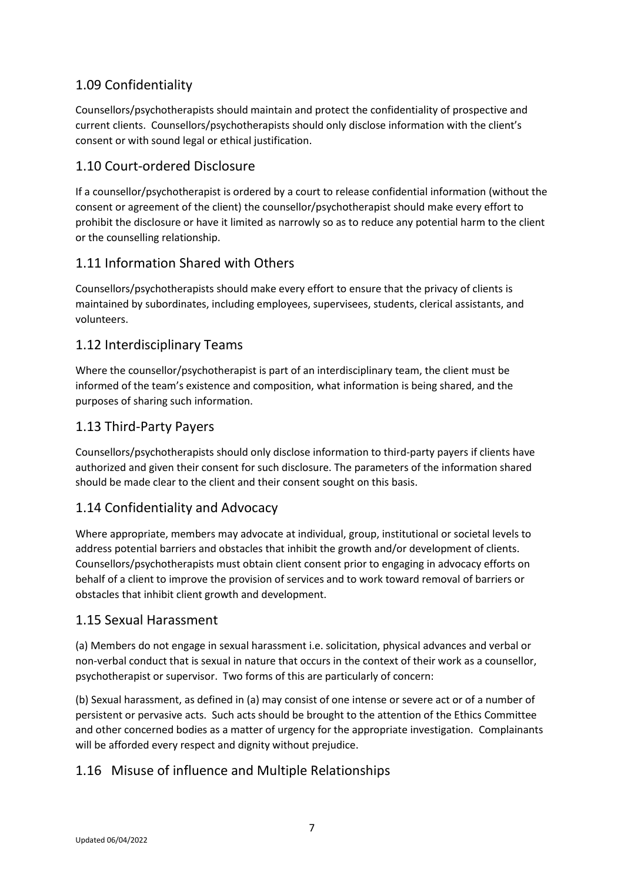## 1.09 Confidentiality

Counsellors/psychotherapists should maintain and protect the confidentiality of prospective and current clients. Counsellors/psychotherapists should only disclose information with the client's consent or with sound legal or ethical justification.

## 1.10 Court-ordered Disclosure

If a counsellor/psychotherapist is ordered by a court to release confidential information (without the consent or agreement of the client) the counsellor/psychotherapist should make every effort to prohibit the disclosure or have it limited as narrowly so as to reduce any potential harm to the client or the counselling relationship.

## 1.11 Information Shared with Others

Counsellors/psychotherapists should make every effort to ensure that the privacy of clients is maintained by subordinates, including employees, supervisees, students, clerical assistants, and volunteers.

## 1.12 Interdisciplinary Teams

Where the counsellor/psychotherapist is part of an interdisciplinary team, the client must be informed of the team's existence and composition, what information is being shared, and the purposes of sharing such information.

## 1.13 Third-Party Payers

Counsellors/psychotherapists should only disclose information to third-party payers if clients have authorized and given their consent for such disclosure. The parameters of the information shared should be made clear to the client and their consent sought on this basis.

## 1.14 Confidentiality and Advocacy

Where appropriate, members may advocate at individual, group, institutional or societal levels to address potential barriers and obstacles that inhibit the growth and/or development of clients. Counsellors/psychotherapists must obtain client consent prior to engaging in advocacy efforts on behalf of a client to improve the provision of services and to work toward removal of barriers or obstacles that inhibit client growth and development.

## 1.15 Sexual Harassment

(a) Members do not engage in sexual harassment i.e. solicitation, physical advances and verbal or non-verbal conduct that is sexual in nature that occurs in the context of their work as a counsellor, psychotherapist or supervisor. Two forms of this are particularly of concern:

(b) Sexual harassment, as defined in (a) may consist of one intense or severe act or of a number of persistent or pervasive acts. Such acts should be brought to the attention of the Ethics Committee and other concerned bodies as a matter of urgency for the appropriate investigation. Complainants will be afforded every respect and dignity without prejudice.

## 1.16 Misuse of influence and Multiple Relationships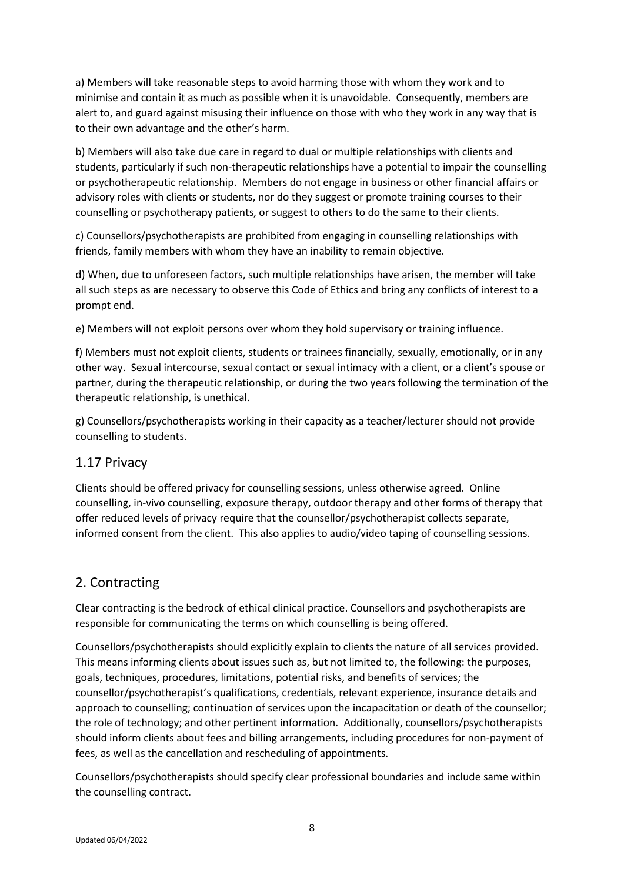a) Members will take reasonable steps to avoid harming those with whom they work and to minimise and contain it as much as possible when it is unavoidable. Consequently, members are alert to, and guard against misusing their influence on those with who they work in any way that is to their own advantage and the other's harm.

b) Members will also take due care in regard to dual or multiple relationships with clients and students, particularly if such non-therapeutic relationships have a potential to impair the counselling or psychotherapeutic relationship. Members do not engage in business or other financial affairs or advisory roles with clients or students, nor do they suggest or promote training courses to their counselling or psychotherapy patients, or suggest to others to do the same to their clients.

c) Counsellors/psychotherapists are prohibited from engaging in counselling relationships with friends, family members with whom they have an inability to remain objective.

d) When, due to unforeseen factors, such multiple relationships have arisen, the member will take all such steps as are necessary to observe this Code of Ethics and bring any conflicts of interest to a prompt end.

e) Members will not exploit persons over whom they hold supervisory or training influence.

f) Members must not exploit clients, students or trainees financially, sexually, emotionally, or in any other way. Sexual intercourse, sexual contact or sexual intimacy with a client, or a client's spouse or partner, during the therapeutic relationship, or during the two years following the termination of the therapeutic relationship, is unethical.

g) Counsellors/psychotherapists working in their capacity as a teacher/lecturer should not provide counselling to students.

## 1.17 Privacy

Clients should be offered privacy for counselling sessions, unless otherwise agreed. Online counselling, in-vivo counselling, exposure therapy, outdoor therapy and other forms of therapy that offer reduced levels of privacy require that the counsellor/psychotherapist collects separate, informed consent from the client. This also applies to audio/video taping of counselling sessions.

## 2. Contracting

Clear contracting is the bedrock of ethical clinical practice. Counsellors and psychotherapists are responsible for communicating the terms on which counselling is being offered.

Counsellors/psychotherapists should explicitly explain to clients the nature of all services provided. This means informing clients about issues such as, but not limited to, the following: the purposes, goals, techniques, procedures, limitations, potential risks, and benefits of services; the counsellor/psychotherapist's qualifications, credentials, relevant experience, insurance details and approach to counselling; continuation of services upon the incapacitation or death of the counsellor; the role of technology; and other pertinent information. Additionally, counsellors/psychotherapists should inform clients about fees and billing arrangements, including procedures for non-payment of fees, as well as the cancellation and rescheduling of appointments.

Counsellors/psychotherapists should specify clear professional boundaries and include same within the counselling contract.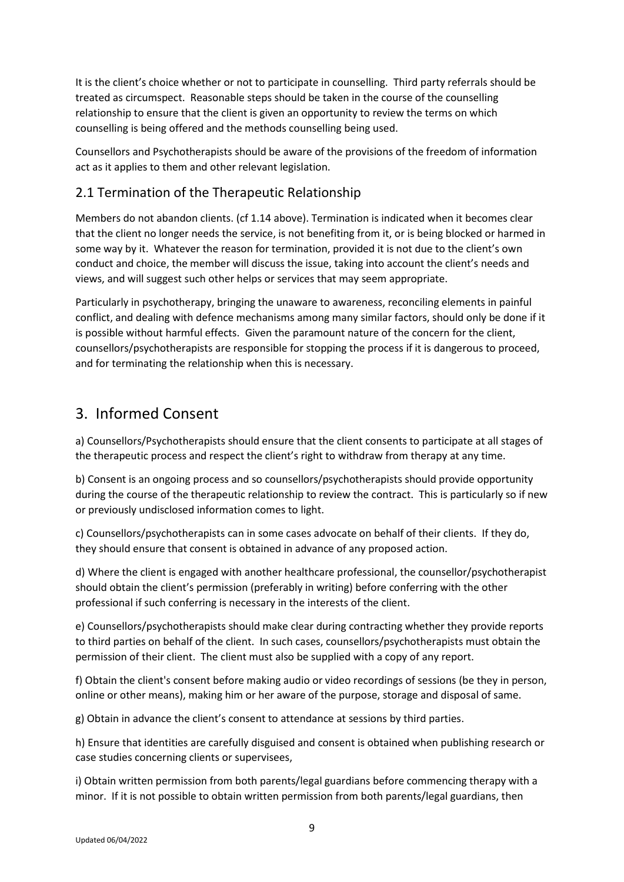It is the client's choice whether or not to participate in counselling. Third party referrals should be treated as circumspect. Reasonable steps should be taken in the course of the counselling relationship to ensure that the client is given an opportunity to review the terms on which counselling is being offered and the methods counselling being used.

Counsellors and Psychotherapists should be aware of the provisions of the freedom of information act as it applies to them and other relevant legislation.

## 2.1 Termination of the Therapeutic Relationship

Members do not abandon clients. (cf 1.14 above). Termination is indicated when it becomes clear that the client no longer needs the service, is not benefiting from it, or is being blocked or harmed in some way by it. Whatever the reason for termination, provided it is not due to the client's own conduct and choice, the member will discuss the issue, taking into account the client's needs and views, and will suggest such other helps or services that may seem appropriate.

Particularly in psychotherapy, bringing the unaware to awareness, reconciling elements in painful conflict, and dealing with defence mechanisms among many similar factors, should only be done if it is possible without harmful effects. Given the paramount nature of the concern for the client, counsellors/psychotherapists are responsible for stopping the process if it is dangerous to proceed, and for terminating the relationship when this is necessary.

## 3. Informed Consent

a) Counsellors/Psychotherapists should ensure that the client consents to participate at all stages of the therapeutic process and respect the client's right to withdraw from therapy at any time.

b) Consent is an ongoing process and so counsellors/psychotherapists should provide opportunity during the course of the therapeutic relationship to review the contract. This is particularly so if new or previously undisclosed information comes to light.

c) Counsellors/psychotherapists can in some cases advocate on behalf of their clients. If they do, they should ensure that consent is obtained in advance of any proposed action.

d) Where the client is engaged with another healthcare professional, the counsellor/psychotherapist should obtain the client's permission (preferably in writing) before conferring with the other professional if such conferring is necessary in the interests of the client.

e) Counsellors/psychotherapists should make clear during contracting whether they provide reports to third parties on behalf of the client. In such cases, counsellors/psychotherapists must obtain the permission of their client. The client must also be supplied with a copy of any report.

f) Obtain the client's consent before making audio or video recordings of sessions (be they in person, online or other means), making him or her aware of the purpose, storage and disposal of same.

g) Obtain in advance the client's consent to attendance at sessions by third parties.

h) Ensure that identities are carefully disguised and consent is obtained when publishing research or case studies concerning clients or supervisees,

i) Obtain written permission from both parents/legal guardians before commencing therapy with a minor. If it is not possible to obtain written permission from both parents/legal guardians, then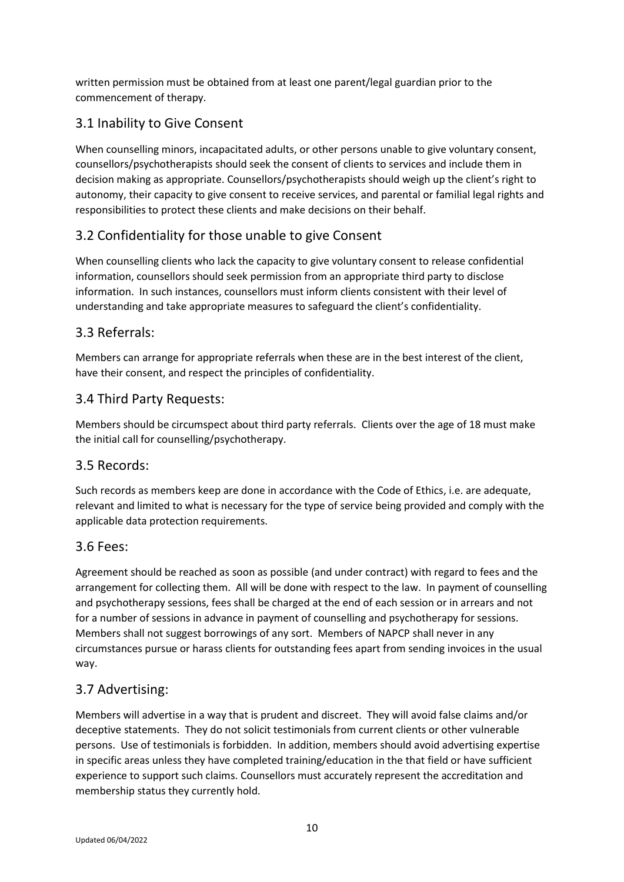written permission must be obtained from at least one parent/legal guardian prior to the commencement of therapy.

## 3.1 Inability to Give Consent

When counselling minors, incapacitated adults, or other persons unable to give voluntary consent, counsellors/psychotherapists should seek the consent of clients to services and include them in decision making as appropriate. Counsellors/psychotherapists should weigh up the client's right to autonomy, their capacity to give consent to receive services, and parental or familial legal rights and responsibilities to protect these clients and make decisions on their behalf.

## 3.2 Confidentiality for those unable to give Consent

When counselling clients who lack the capacity to give voluntary consent to release confidential information, counsellors should seek permission from an appropriate third party to disclose information. In such instances, counsellors must inform clients consistent with their level of understanding and take appropriate measures to safeguard the client's confidentiality.

## 3.3 Referrals:

Members can arrange for appropriate referrals when these are in the best interest of the client, have their consent, and respect the principles of confidentiality.

## 3.4 Third Party Requests:

Members should be circumspect about third party referrals. Clients over the age of 18 must make the initial call for counselling/psychotherapy.

## 3.5 Records:

Such records as members keep are done in accordance with the Code of Ethics, i.e. are adequate, relevant and limited to what is necessary for the type of service being provided and comply with the applicable data protection requirements.

#### 3.6 Fees:

Agreement should be reached as soon as possible (and under contract) with regard to fees and the arrangement for collecting them. All will be done with respect to the law. In payment of counselling and psychotherapy sessions, fees shall be charged at the end of each session or in arrears and not for a number of sessions in advance in payment of counselling and psychotherapy for sessions. Members shall not suggest borrowings of any sort. Members of NAPCP shall never in any circumstances pursue or harass clients for outstanding fees apart from sending invoices in the usual way.

## 3.7 Advertising:

Members will advertise in a way that is prudent and discreet. They will avoid false claims and/or deceptive statements. They do not solicit testimonials from current clients or other vulnerable persons. Use of testimonials is forbidden. In addition, members should avoid advertising expertise in specific areas unless they have completed training/education in the that field or have sufficient experience to support such claims. Counsellors must accurately represent the accreditation and membership status they currently hold.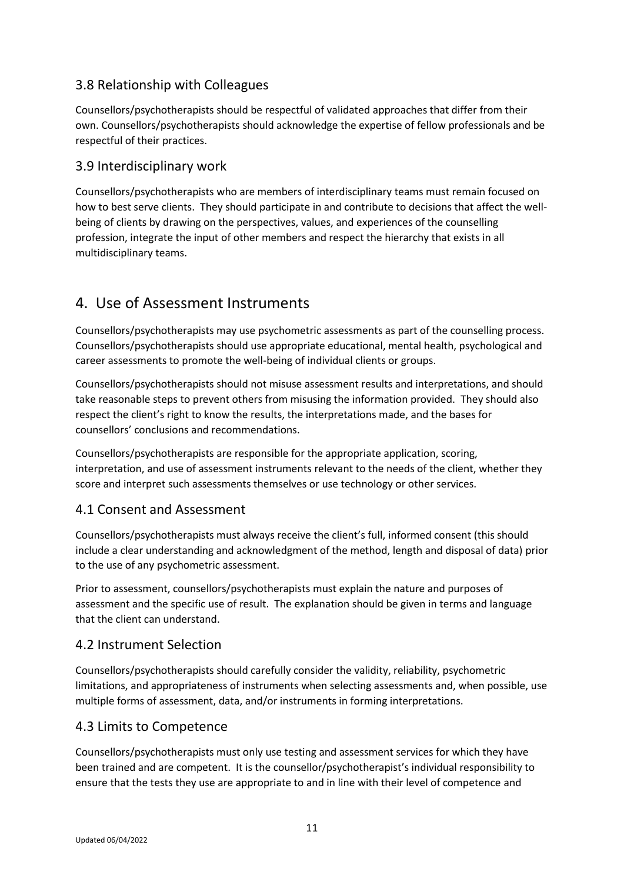## 3.8 Relationship with Colleagues

Counsellors/psychotherapists should be respectful of validated approaches that differ from their own. Counsellors/psychotherapists should acknowledge the expertise of fellow professionals and be respectful of their practices.

#### 3.9 Interdisciplinary work

Counsellors/psychotherapists who are members of interdisciplinary teams must remain focused on how to best serve clients. They should participate in and contribute to decisions that affect the wellbeing of clients by drawing on the perspectives, values, and experiences of the counselling profession, integrate the input of other members and respect the hierarchy that exists in all multidisciplinary teams.

## 4. Use of Assessment Instruments

Counsellors/psychotherapists may use psychometric assessments as part of the counselling process. Counsellors/psychotherapists should use appropriate educational, mental health, psychological and career assessments to promote the well-being of individual clients or groups.

Counsellors/psychotherapists should not misuse assessment results and interpretations, and should take reasonable steps to prevent others from misusing the information provided. They should also respect the client's right to know the results, the interpretations made, and the bases for counsellors' conclusions and recommendations.

Counsellors/psychotherapists are responsible for the appropriate application, scoring, interpretation, and use of assessment instruments relevant to the needs of the client, whether they score and interpret such assessments themselves or use technology or other services.

#### 4.1 Consent and Assessment

Counsellors/psychotherapists must always receive the client's full, informed consent (this should include a clear understanding and acknowledgment of the method, length and disposal of data) prior to the use of any psychometric assessment.

Prior to assessment, counsellors/psychotherapists must explain the nature and purposes of assessment and the specific use of result. The explanation should be given in terms and language that the client can understand.

## 4.2 Instrument Selection

Counsellors/psychotherapists should carefully consider the validity, reliability, psychometric limitations, and appropriateness of instruments when selecting assessments and, when possible, use multiple forms of assessment, data, and/or instruments in forming interpretations.

## 4.3 Limits to Competence

Counsellors/psychotherapists must only use testing and assessment services for which they have been trained and are competent. It is the counsellor/psychotherapist's individual responsibility to ensure that the tests they use are appropriate to and in line with their level of competence and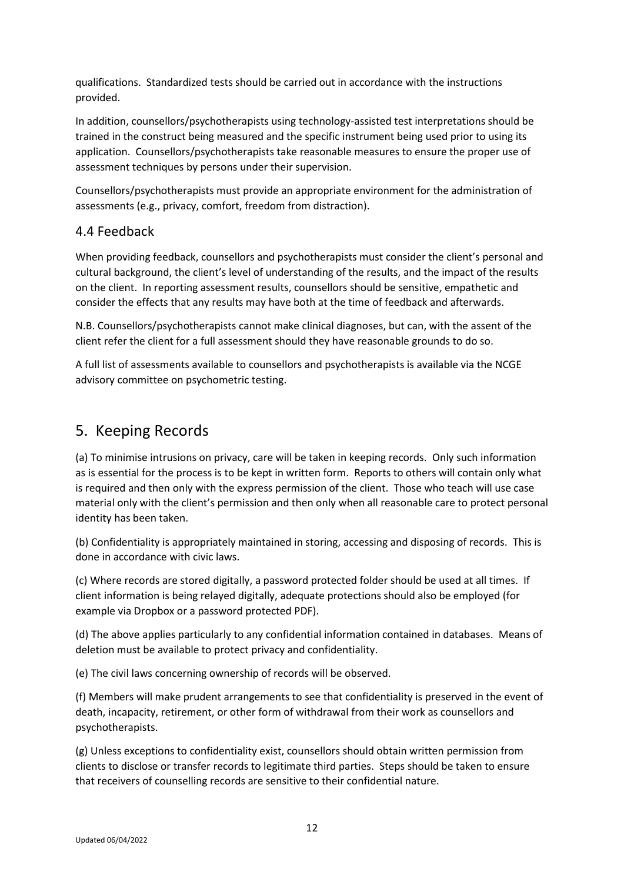qualifications. Standardized tests should be carried out in accordance with the instructions provided.

In addition, counsellors/psychotherapists using technology-assisted test interpretations should be trained in the construct being measured and the specific instrument being used prior to using its application. Counsellors/psychotherapists take reasonable measures to ensure the proper use of assessment techniques by persons under their supervision.

Counsellors/psychotherapists must provide an appropriate environment for the administration of assessments (e.g., privacy, comfort, freedom from distraction).

#### 4.4 Feedback

When providing feedback, counsellors and psychotherapists must consider the client's personal and cultural background, the client's level of understanding of the results, and the impact of the results on the client. In reporting assessment results, counsellors should be sensitive, empathetic and consider the effects that any results may have both at the time of feedback and afterwards.

N.B. Counsellors/psychotherapists cannot make clinical diagnoses, but can, with the assent of the client refer the client for a full assessment should they have reasonable grounds to do so.

A full list of assessments available to counsellors and psychotherapists is available via the NCGE advisory committee on psychometric testing.

## 5. Keeping Records

(a) To minimise intrusions on privacy, care will be taken in keeping records. Only such information as is essential for the process is to be kept in written form. Reports to others will contain only what is required and then only with the express permission of the client. Those who teach will use case material only with the client's permission and then only when all reasonable care to protect personal identity has been taken.

(b) Confidentiality is appropriately maintained in storing, accessing and disposing of records. This is done in accordance with civic laws.

(c) Where records are stored digitally, a password protected folder should be used at all times. If client information is being relayed digitally, adequate protections should also be employed (for example via Dropbox or a password protected PDF).

(d) The above applies particularly to any confidential information contained in databases. Means of deletion must be available to protect privacy and confidentiality.

(e) The civil laws concerning ownership of records will be observed.

(f) Members will make prudent arrangements to see that confidentiality is preserved in the event of death, incapacity, retirement, or other form of withdrawal from their work as counsellors and psychotherapists.

(g) Unless exceptions to confidentiality exist, counsellors should obtain written permission from clients to disclose or transfer records to legitimate third parties. Steps should be taken to ensure that receivers of counselling records are sensitive to their confidential nature.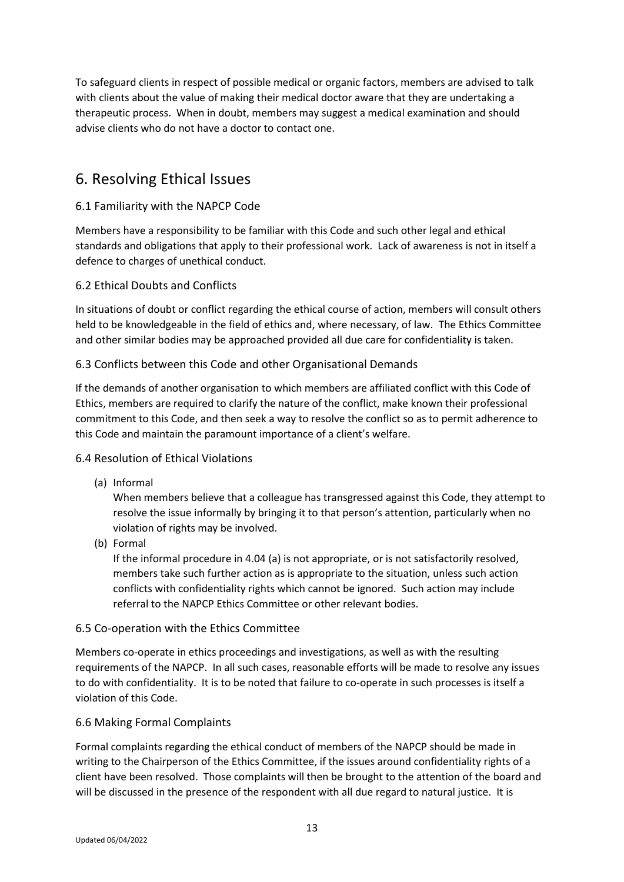To safeguard clients in respect of possible medical or organic factors, members are advised to talk with clients about the value of making their medical doctor aware that they are undertaking a therapeutic process. When in doubt, members may suggest a medical examination and should advise clients who do not have a doctor to contact one.

## 6. Resolving Ethical Issues

#### 6.1 Familiarity with the NAPCP Code

Members have a responsibility to be familiar with this Code and such other legal and ethical standards and obligations that apply to their professional work. Lack of awareness is not in itself a defence to charges of unethical conduct.

#### 6.2 Ethical Doubts and Conflicts

In situations of doubt or conflict regarding the ethical course of action, members will consult others held to be knowledgeable in the field of ethics and, where necessary, of law. The Ethics Committee and other similar bodies may be approached provided all due care for confidentiality is taken.

#### 6.3 Conflicts between this Code and other Organisational Demands

If the demands of another organisation to which members are affiliated conflict with this Code of Ethics, members are required to clarify the nature of the conflict, make known their professional commitment to this Code, and then seek a way to resolve the conflict so as to permit adherence to this Code and maintain the paramount importance of a client's welfare.

#### 6.4 Resolution of Ethical Violations

(a) Informal

When members believe that a colleague has transgressed against this Code, they attempt to resolve the issue informally by bringing it to that person's attention, particularly when no violation of rights may be involved.

(b) Formal

If the informal procedure in 4.04 (a) is not appropriate, or is not satisfactorily resolved, members take such further action as is appropriate to the situation, unless such action conflicts with confidentiality rights which cannot be ignored. Such action may include referral to the NAPCP Ethics Committee or other relevant bodies.

#### 6.5 Co-operation with the Ethics Committee

Members co-operate in ethics proceedings and investigations, as well as with the resulting requirements of the NAPCP. In all such cases, reasonable efforts will be made to resolve any issues to do with confidentiality. It is to be noted that failure to co-operate in such processes is itself a violation of this Code.

#### 6.6 Making Formal Complaints

Formal complaints regarding the ethical conduct of members of the NAPCP should be made in writing to the Chairperson of the Ethics Committee, if the issues around confidentiality rights of a client have been resolved. Those complaints will then be brought to the attention of the board and will be discussed in the presence of the respondent with all due regard to natural justice. It is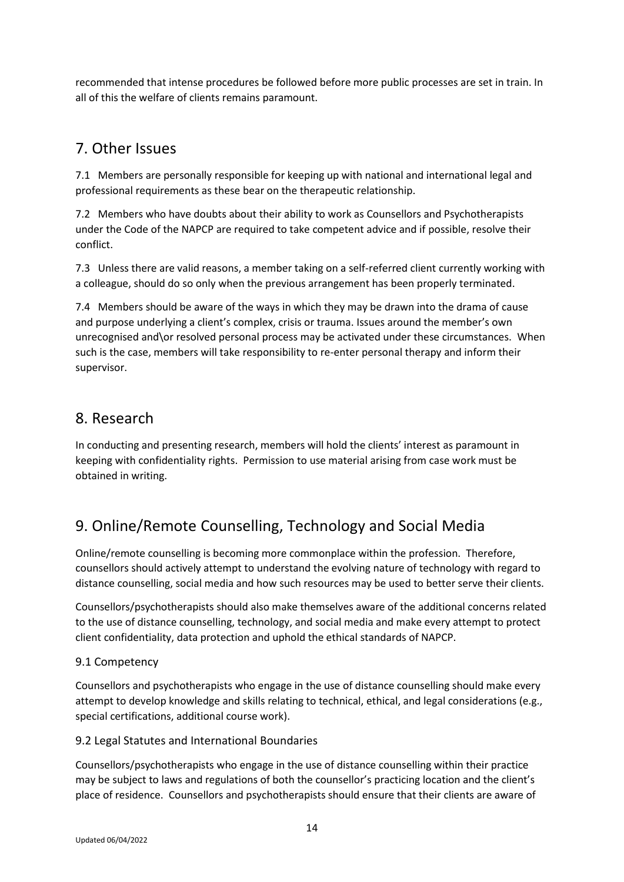recommended that intense procedures be followed before more public processes are set in train. In all of this the welfare of clients remains paramount.

## 7. Other Issues

7.1 Members are personally responsible for keeping up with national and international legal and professional requirements as these bear on the therapeutic relationship.

7.2 Members who have doubts about their ability to work as Counsellors and Psychotherapists under the Code of the NAPCP are required to take competent advice and if possible, resolve their conflict.

7.3 Unless there are valid reasons, a member taking on a self-referred client currently working with a colleague, should do so only when the previous arrangement has been properly terminated.

7.4 Members should be aware of the ways in which they may be drawn into the drama of cause and purpose underlying a client's complex, crisis or trauma. Issues around the member's own unrecognised and\or resolved personal process may be activated under these circumstances. When such is the case, members will take responsibility to re-enter personal therapy and inform their supervisor.

## 8. Research

In conducting and presenting research, members will hold the clients' interest as paramount in keeping with confidentiality rights. Permission to use material arising from case work must be obtained in writing.

## 9. Online/Remote Counselling, Technology and Social Media

Online/remote counselling is becoming more commonplace within the profession. Therefore, counsellors should actively attempt to understand the evolving nature of technology with regard to distance counselling, social media and how such resources may be used to better serve their clients.

Counsellors/psychotherapists should also make themselves aware of the additional concerns related to the use of distance counselling, technology, and social media and make every attempt to protect client confidentiality, data protection and uphold the ethical standards of NAPCP.

## 9.1 Competency

Counsellors and psychotherapists who engage in the use of distance counselling should make every attempt to develop knowledge and skills relating to technical, ethical, and legal considerations (e.g., special certifications, additional course work).

#### 9.2 Legal Statutes and International Boundaries

Counsellors/psychotherapists who engage in the use of distance counselling within their practice may be subject to laws and regulations of both the counsellor's practicing location and the client's place of residence. Counsellors and psychotherapists should ensure that their clients are aware of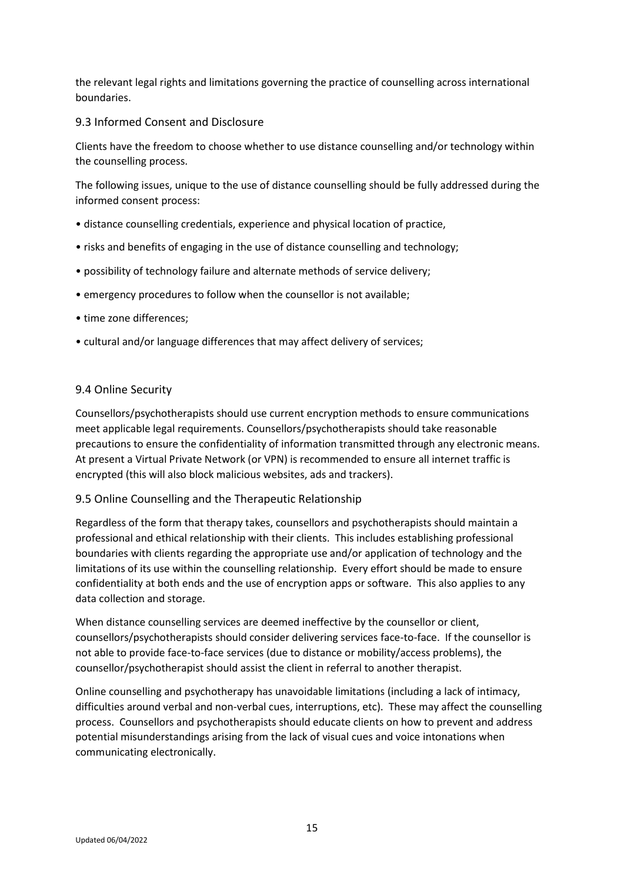the relevant legal rights and limitations governing the practice of counselling across international boundaries.

#### 9.3 Informed Consent and Disclosure

Clients have the freedom to choose whether to use distance counselling and/or technology within the counselling process.

The following issues, unique to the use of distance counselling should be fully addressed during the informed consent process:

- distance counselling credentials, experience and physical location of practice,
- risks and benefits of engaging in the use of distance counselling and technology;
- possibility of technology failure and alternate methods of service delivery;
- emergency procedures to follow when the counsellor is not available;
- time zone differences;
- cultural and/or language differences that may affect delivery of services;

#### 9.4 Online Security

Counsellors/psychotherapists should use current encryption methods to ensure communications meet applicable legal requirements. Counsellors/psychotherapists should take reasonable precautions to ensure the confidentiality of information transmitted through any electronic means. At present a Virtual Private Network (or VPN) is recommended to ensure all internet traffic is encrypted (this will also block malicious websites, ads and trackers).

#### 9.5 Online Counselling and the Therapeutic Relationship

Regardless of the form that therapy takes, counsellors and psychotherapists should maintain a professional and ethical relationship with their clients. This includes establishing professional boundaries with clients regarding the appropriate use and/or application of technology and the limitations of its use within the counselling relationship. Every effort should be made to ensure confidentiality at both ends and the use of encryption apps or software. This also applies to any data collection and storage.

When distance counselling services are deemed ineffective by the counsellor or client, counsellors/psychotherapists should consider delivering services face-to-face. If the counsellor is not able to provide face-to-face services (due to distance or mobility/access problems), the counsellor/psychotherapist should assist the client in referral to another therapist.

Online counselling and psychotherapy has unavoidable limitations (including a lack of intimacy, difficulties around verbal and non-verbal cues, interruptions, etc). These may affect the counselling process. Counsellors and psychotherapists should educate clients on how to prevent and address potential misunderstandings arising from the lack of visual cues and voice intonations when communicating electronically.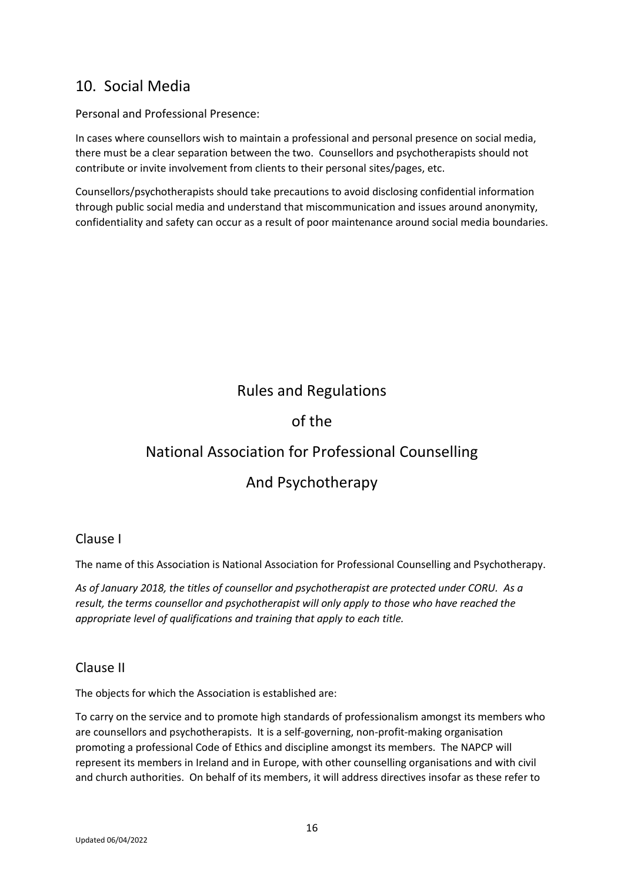## 10. Social Media

Personal and Professional Presence:

In cases where counsellors wish to maintain a professional and personal presence on social media, there must be a clear separation between the two. Counsellors and psychotherapists should not contribute or invite involvement from clients to their personal sites/pages, etc.

Counsellors/psychotherapists should take precautions to avoid disclosing confidential information through public social media and understand that miscommunication and issues around anonymity, confidentiality and safety can occur as a result of poor maintenance around social media boundaries.

## Rules and Regulations

## of the

## National Association for Professional Counselling

## And Psychotherapy

#### Clause I

The name of this Association is National Association for Professional Counselling and Psychotherapy.

*As of January 2018, the titles of counsellor and psychotherapist are protected under CORU. As a result, the terms counsellor and psychotherapist will only apply to those who have reached the appropriate level of qualifications and training that apply to each title.* 

#### Clause II

The objects for which the Association is established are:

To carry on the service and to promote high standards of professionalism amongst its members who are counsellors and psychotherapists. It is a self-governing, non-profit-making organisation promoting a professional Code of Ethics and discipline amongst its members. The NAPCP will represent its members in Ireland and in Europe, with other counselling organisations and with civil and church authorities. On behalf of its members, it will address directives insofar as these refer to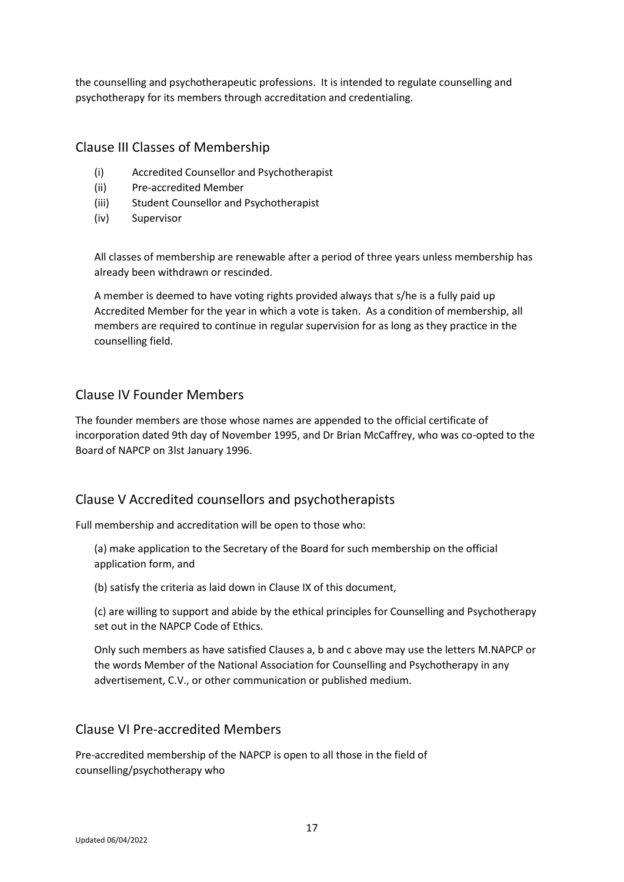the counselling and psychotherapeutic professions. It is intended to regulate counselling and psychotherapy for its members through accreditation and credentialing.

#### Clause III Classes of Membership

- (i) Accredited Counsellor and Psychotherapist
- (ii) Pre-accredited Member
- (iii) Student Counsellor and Psychotherapist
- (iv) Supervisor

All classes of membership are renewable after a period of three years unless membership has already been withdrawn or rescinded.

A member is deemed to have voting rights provided always that s/he is a fully paid up Accredited Member for the year in which a vote is taken. As a condition of membership, all members are required to continue in regular supervision for as long as they practice in the counselling field.

#### Clause IV Founder Members

The founder members are those whose names are appended to the official certificate of incorporation dated 9th day of November 1995, and Dr Brian McCaffrey, who was co-opted to the Board of NAPCP on 3lst January 1996.

#### Clause V Accredited counsellors and psychotherapists

Full membership and accreditation will be open to those who:

(a) make application to the Secretary of the Board for such membership on the official application form, and

(b) satisfy the criteria as laid down in Clause IX of this document,

(c) are willing to support and abide by the ethical principles for Counselling and Psychotherapy set out in the NAPCP Code of Ethics.

Only such members as have satisfied Clauses a, b and c above may use the letters M.NAPCP or the words Member of the National Association for Counselling and Psychotherapy in any advertisement, C.V., or other communication or published medium.

#### Clause VI Pre-accredited Members

Pre-accredited membership of the NAPCP is open to all those in the field of counselling/psychotherapy who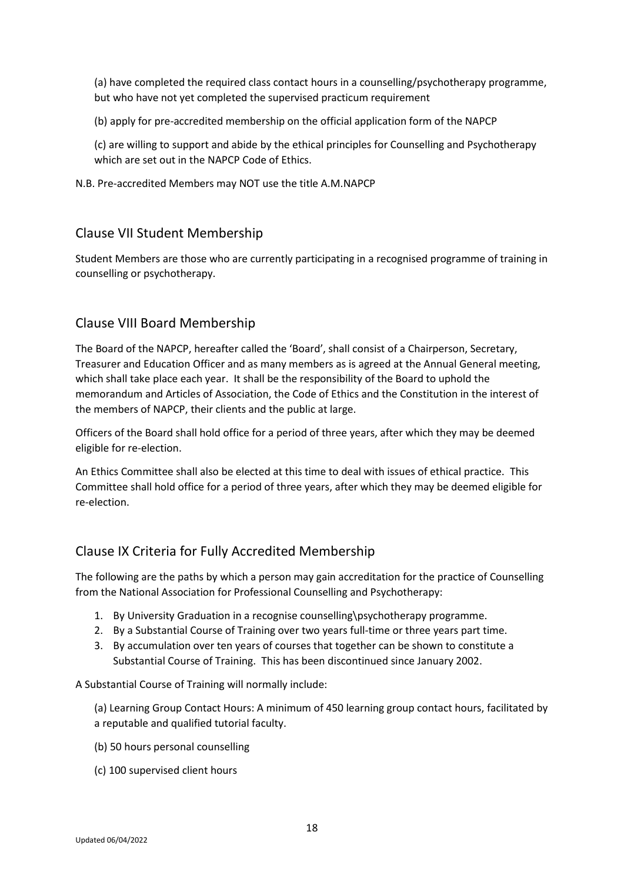(a) have completed the required class contact hours in a counselling/psychotherapy programme, but who have not yet completed the supervised practicum requirement

(b) apply for pre-accredited membership on the official application form of the NAPCP

(c) are willing to support and abide by the ethical principles for Counselling and Psychotherapy which are set out in the NAPCP Code of Ethics.

N.B. Pre-accredited Members may NOT use the title A.M.NAPCP

## Clause VII Student Membership

Student Members are those who are currently participating in a recognised programme of training in counselling or psychotherapy.

## Clause VIII Board Membership

The Board of the NAPCP, hereafter called the 'Board', shall consist of a Chairperson, Secretary, Treasurer and Education Officer and as many members as is agreed at the Annual General meeting, which shall take place each year. It shall be the responsibility of the Board to uphold the memorandum and Articles of Association, the Code of Ethics and the Constitution in the interest of the members of NAPCP, their clients and the public at large.

Officers of the Board shall hold office for a period of three years, after which they may be deemed eligible for re-election.

An Ethics Committee shall also be elected at this time to deal with issues of ethical practice. This Committee shall hold office for a period of three years, after which they may be deemed eligible for re-election.

## Clause IX Criteria for Fully Accredited Membership

The following are the paths by which a person may gain accreditation for the practice of Counselling from the National Association for Professional Counselling and Psychotherapy:

- 1. By University Graduation in a recognise counselling\psychotherapy programme.
- 2. By a Substantial Course of Training over two years full-time or three years part time.
- 3. By accumulation over ten years of courses that together can be shown to constitute a Substantial Course of Training. This has been discontinued since January 2002.

A Substantial Course of Training will normally include:

(a) Learning Group Contact Hours: A minimum of 450 learning group contact hours, facilitated by a reputable and qualified tutorial faculty.

- (b) 50 hours personal counselling
- (c) 100 supervised client hours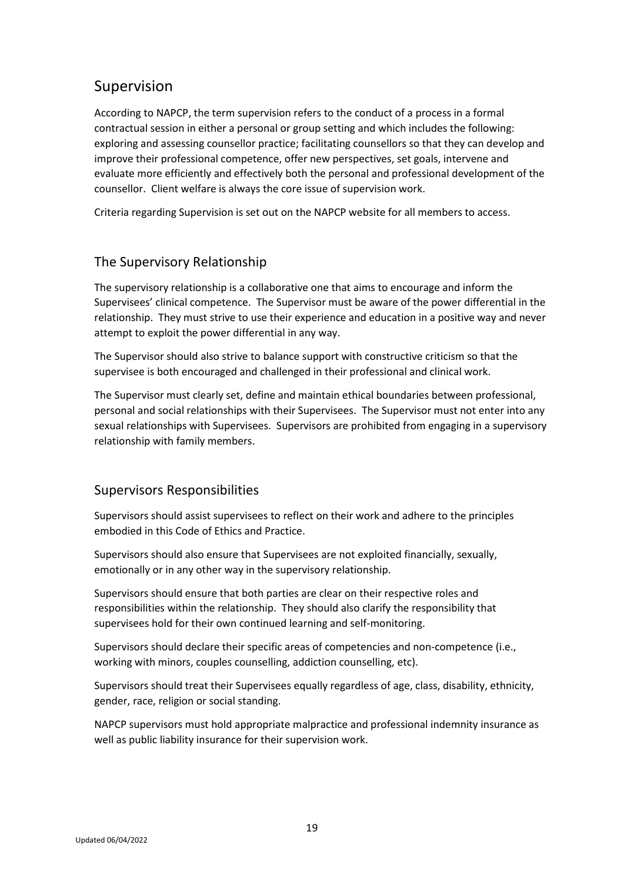## Supervision

According to NAPCP, the term supervision refers to the conduct of a process in a formal contractual session in either a personal or group setting and which includes the following: exploring and assessing counsellor practice; facilitating counsellors so that they can develop and improve their professional competence, offer new perspectives, set goals, intervene and evaluate more efficiently and effectively both the personal and professional development of the counsellor. Client welfare is always the core issue of supervision work.

Criteria regarding Supervision is set out on the NAPCP website for all members to access.

## The Supervisory Relationship

The supervisory relationship is a collaborative one that aims to encourage and inform the Supervisees' clinical competence. The Supervisor must be aware of the power differential in the relationship. They must strive to use their experience and education in a positive way and never attempt to exploit the power differential in any way.

The Supervisor should also strive to balance support with constructive criticism so that the supervisee is both encouraged and challenged in their professional and clinical work.

The Supervisor must clearly set, define and maintain ethical boundaries between professional, personal and social relationships with their Supervisees. The Supervisor must not enter into any sexual relationships with Supervisees. Supervisors are prohibited from engaging in a supervisory relationship with family members.

## Supervisors Responsibilities

Supervisors should assist supervisees to reflect on their work and adhere to the principles embodied in this Code of Ethics and Practice.

Supervisors should also ensure that Supervisees are not exploited financially, sexually, emotionally or in any other way in the supervisory relationship.

Supervisors should ensure that both parties are clear on their respective roles and responsibilities within the relationship. They should also clarify the responsibility that supervisees hold for their own continued learning and self-monitoring.

Supervisors should declare their specific areas of competencies and non-competence (i.e., working with minors, couples counselling, addiction counselling, etc).

Supervisors should treat their Supervisees equally regardless of age, class, disability, ethnicity, gender, race, religion or social standing.

NAPCP supervisors must hold appropriate malpractice and professional indemnity insurance as well as public liability insurance for their supervision work.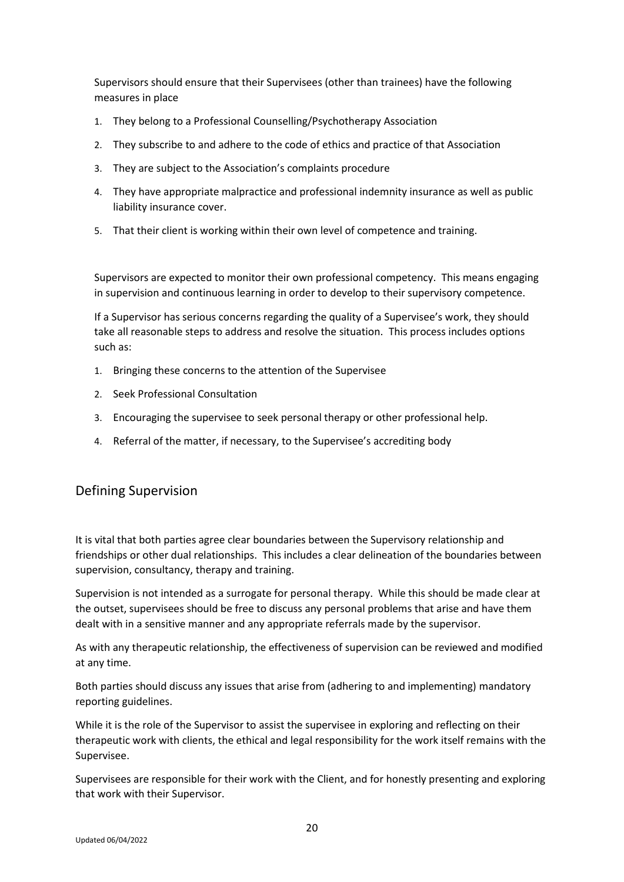Supervisors should ensure that their Supervisees (other than trainees) have the following measures in place

- 1. They belong to a Professional Counselling/Psychotherapy Association
- 2. They subscribe to and adhere to the code of ethics and practice of that Association
- 3. They are subject to the Association's complaints procedure
- 4. They have appropriate malpractice and professional indemnity insurance as well as public liability insurance cover.
- 5. That their client is working within their own level of competence and training.

Supervisors are expected to monitor their own professional competency. This means engaging in supervision and continuous learning in order to develop to their supervisory competence.

If a Supervisor has serious concerns regarding the quality of a Supervisee's work, they should take all reasonable steps to address and resolve the situation. This process includes options such as:

- 1. Bringing these concerns to the attention of the Supervisee
- 2. Seek Professional Consultation
- 3. Encouraging the supervisee to seek personal therapy or other professional help.
- 4. Referral of the matter, if necessary, to the Supervisee's accrediting body

## Defining Supervision

It is vital that both parties agree clear boundaries between the Supervisory relationship and friendships or other dual relationships. This includes a clear delineation of the boundaries between supervision, consultancy, therapy and training.

Supervision is not intended as a surrogate for personal therapy. While this should be made clear at the outset, supervisees should be free to discuss any personal problems that arise and have them dealt with in a sensitive manner and any appropriate referrals made by the supervisor.

As with any therapeutic relationship, the effectiveness of supervision can be reviewed and modified at any time.

Both parties should discuss any issues that arise from (adhering to and implementing) mandatory reporting guidelines.

While it is the role of the Supervisor to assist the supervisee in exploring and reflecting on their therapeutic work with clients, the ethical and legal responsibility for the work itself remains with the Supervisee.

Supervisees are responsible for their work with the Client, and for honestly presenting and exploring that work with their Supervisor.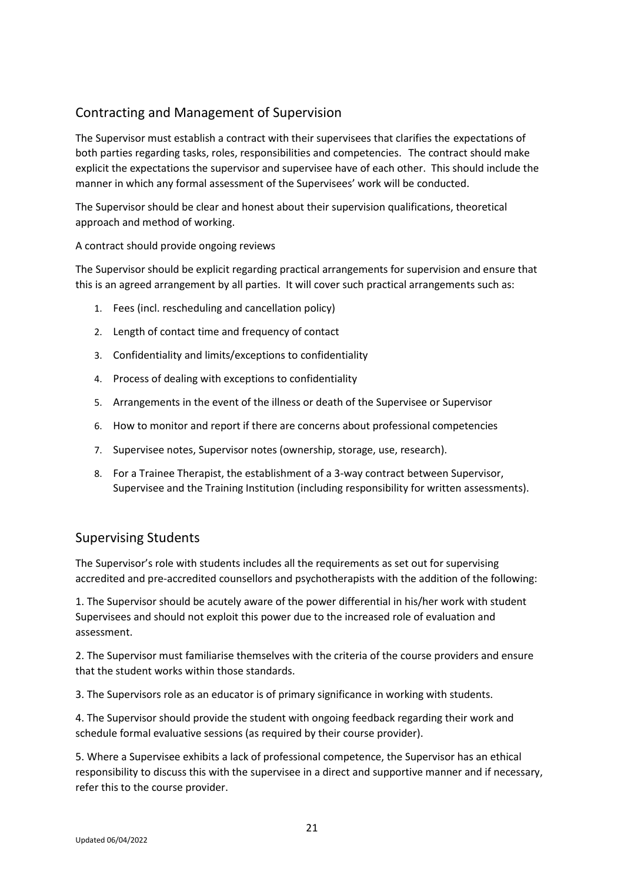## Contracting and Management of Supervision

The Supervisor must establish a contract with their supervisees that clarifies the expectations of both parties regarding tasks, roles, responsibilities and competencies. The contract should make explicit the expectations the supervisor and supervisee have of each other. This should include the manner in which any formal assessment of the Supervisees' work will be conducted.

The Supervisor should be clear and honest about their supervision qualifications, theoretical approach and method of working.

#### A contract should provide ongoing reviews

The Supervisor should be explicit regarding practical arrangements for supervision and ensure that this is an agreed arrangement by all parties. It will cover such practical arrangements such as:

- 1. Fees (incl. rescheduling and cancellation policy)
- 2. Length of contact time and frequency of contact
- 3. Confidentiality and limits/exceptions to confidentiality
- 4. Process of dealing with exceptions to confidentiality
- 5. Arrangements in the event of the illness or death of the Supervisee or Supervisor
- 6. How to monitor and report if there are concerns about professional competencies
- 7. Supervisee notes, Supervisor notes (ownership, storage, use, research).
- 8. For a Trainee Therapist, the establishment of a 3-way contract between Supervisor, Supervisee and the Training Institution (including responsibility for written assessments).

## Supervising Students

The Supervisor's role with students includes all the requirements as set out for supervising accredited and pre-accredited counsellors and psychotherapists with the addition of the following:

1. The Supervisor should be acutely aware of the power differential in his/her work with student Supervisees and should not exploit this power due to the increased role of evaluation and assessment.

2. The Supervisor must familiarise themselves with the criteria of the course providers and ensure that the student works within those standards.

3. The Supervisors role as an educator is of primary significance in working with students.

4. The Supervisor should provide the student with ongoing feedback regarding their work and schedule formal evaluative sessions (as required by their course provider).

5. Where a Supervisee exhibits a lack of professional competence, the Supervisor has an ethical responsibility to discuss this with the supervisee in a direct and supportive manner and if necessary, refer this to the course provider.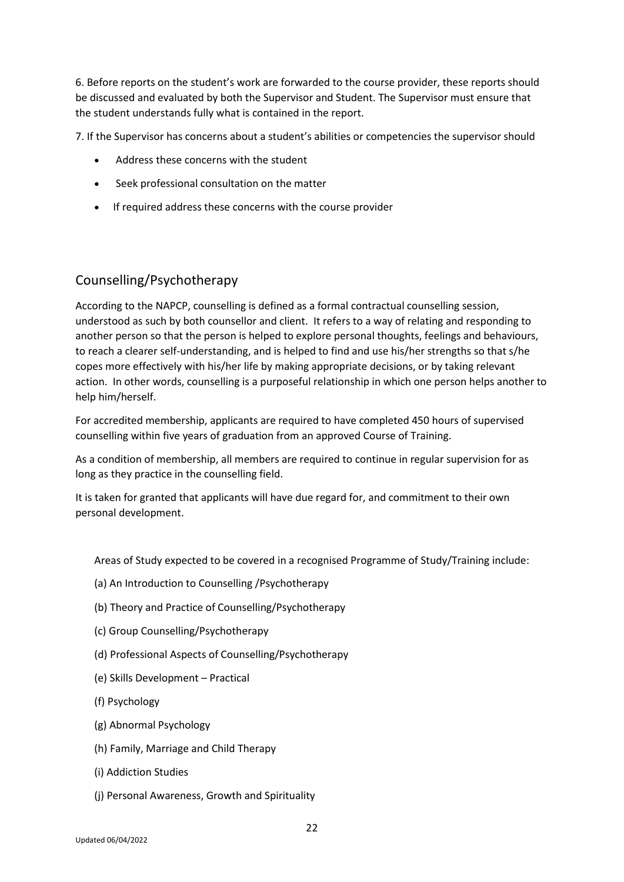6. Before reports on the student's work are forwarded to the course provider, these reports should be discussed and evaluated by both the Supervisor and Student. The Supervisor must ensure that the student understands fully what is contained in the report.

7. If the Supervisor has concerns about a student's abilities or competencies the supervisor should

- Address these concerns with the student
- Seek professional consultation on the matter
- If required address these concerns with the course provider

## Counselling/Psychotherapy

According to the NAPCP, counselling is defined as a formal contractual counselling session, understood as such by both counsellor and client. It refers to a way of relating and responding to another person so that the person is helped to explore personal thoughts, feelings and behaviours, to reach a clearer self-understanding, and is helped to find and use his/her strengths so that s/he copes more effectively with his/her life by making appropriate decisions, or by taking relevant action. In other words, counselling is a purposeful relationship in which one person helps another to help him/herself.

For accredited membership, applicants are required to have completed 450 hours of supervised counselling within five years of graduation from an approved Course of Training.

As a condition of membership, all members are required to continue in regular supervision for as long as they practice in the counselling field.

It is taken for granted that applicants will have due regard for, and commitment to their own personal development.

Areas of Study expected to be covered in a recognised Programme of Study/Training include:

- (a) An Introduction to Counselling /Psychotherapy
- (b) Theory and Practice of Counselling/Psychotherapy
- (c) Group Counselling/Psychotherapy
- (d) Professional Aspects of Counselling/Psychotherapy
- (e) Skills Development Practical
- (f) Psychology
- (g) Abnormal Psychology
- (h) Family, Marriage and Child Therapy
- (i) Addiction Studies
- (j) Personal Awareness, Growth and Spirituality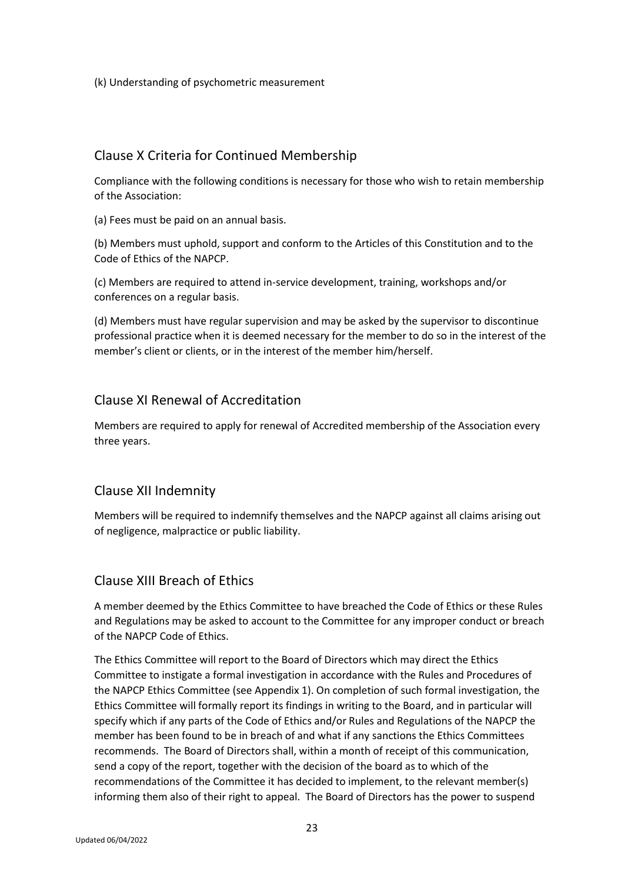(k) Understanding of psychometric measurement

## Clause X Criteria for Continued Membership

Compliance with the following conditions is necessary for those who wish to retain membership of the Association:

(a) Fees must be paid on an annual basis.

(b) Members must uphold, support and conform to the Articles of this Constitution and to the Code of Ethics of the NAPCP.

(c) Members are required to attend in-service development, training, workshops and/or conferences on a regular basis.

(d) Members must have regular supervision and may be asked by the supervisor to discontinue professional practice when it is deemed necessary for the member to do so in the interest of the member's client or clients, or in the interest of the member him/herself.

## Clause XI Renewal of Accreditation

Members are required to apply for renewal of Accredited membership of the Association every three years.

## Clause XII Indemnity

Members will be required to indemnify themselves and the NAPCP against all claims arising out of negligence, malpractice or public liability.

## Clause XIII Breach of Ethics

A member deemed by the Ethics Committee to have breached the Code of Ethics or these Rules and Regulations may be asked to account to the Committee for any improper conduct or breach of the NAPCP Code of Ethics.

The Ethics Committee will report to the Board of Directors which may direct the Ethics Committee to instigate a formal investigation in accordance with the Rules and Procedures of the NAPCP Ethics Committee (see Appendix 1). On completion of such formal investigation, the Ethics Committee will formally report its findings in writing to the Board, and in particular will specify which if any parts of the Code of Ethics and/or Rules and Regulations of the NAPCP the member has been found to be in breach of and what if any sanctions the Ethics Committees recommends. The Board of Directors shall, within a month of receipt of this communication, send a copy of the report, together with the decision of the board as to which of the recommendations of the Committee it has decided to implement, to the relevant member(s) informing them also of their right to appeal. The Board of Directors has the power to suspend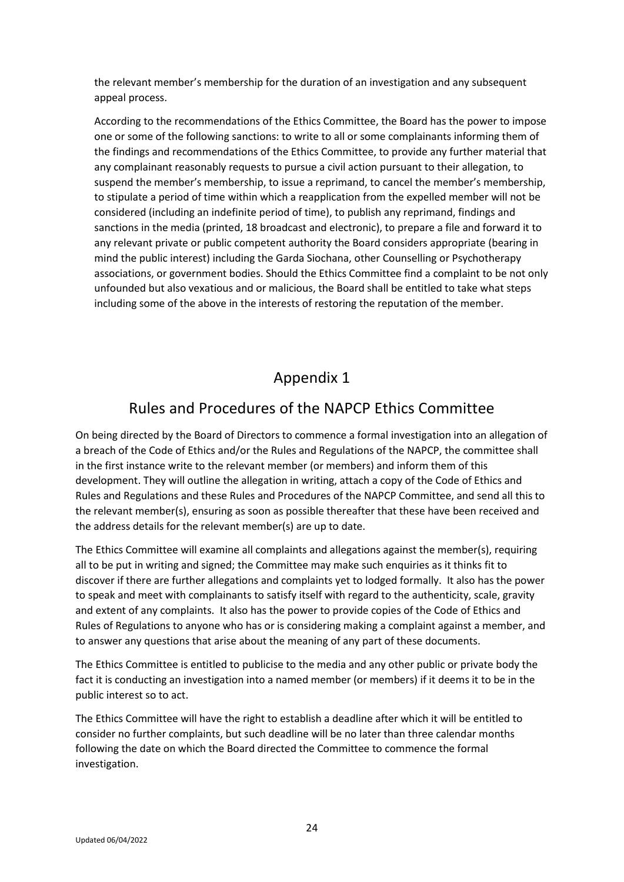the relevant member's membership for the duration of an investigation and any subsequent appeal process.

According to the recommendations of the Ethics Committee, the Board has the power to impose one or some of the following sanctions: to write to all or some complainants informing them of the findings and recommendations of the Ethics Committee, to provide any further material that any complainant reasonably requests to pursue a civil action pursuant to their allegation, to suspend the member's membership, to issue a reprimand, to cancel the member's membership, to stipulate a period of time within which a reapplication from the expelled member will not be considered (including an indefinite period of time), to publish any reprimand, findings and sanctions in the media (printed, 18 broadcast and electronic), to prepare a file and forward it to any relevant private or public competent authority the Board considers appropriate (bearing in mind the public interest) including the Garda Siochana, other Counselling or Psychotherapy associations, or government bodies. Should the Ethics Committee find a complaint to be not only unfounded but also vexatious and or malicious, the Board shall be entitled to take what steps including some of the above in the interests of restoring the reputation of the member.

## Appendix 1

## Rules and Procedures of the NAPCP Ethics Committee

On being directed by the Board of Directors to commence a formal investigation into an allegation of a breach of the Code of Ethics and/or the Rules and Regulations of the NAPCP, the committee shall in the first instance write to the relevant member (or members) and inform them of this development. They will outline the allegation in writing, attach a copy of the Code of Ethics and Rules and Regulations and these Rules and Procedures of the NAPCP Committee, and send all this to the relevant member(s), ensuring as soon as possible thereafter that these have been received and the address details for the relevant member(s) are up to date.

The Ethics Committee will examine all complaints and allegations against the member(s), requiring all to be put in writing and signed; the Committee may make such enquiries as it thinks fit to discover if there are further allegations and complaints yet to lodged formally. It also has the power to speak and meet with complainants to satisfy itself with regard to the authenticity, scale, gravity and extent of any complaints. It also has the power to provide copies of the Code of Ethics and Rules of Regulations to anyone who has or is considering making a complaint against a member, and to answer any questions that arise about the meaning of any part of these documents.

The Ethics Committee is entitled to publicise to the media and any other public or private body the fact it is conducting an investigation into a named member (or members) if it deems it to be in the public interest so to act.

The Ethics Committee will have the right to establish a deadline after which it will be entitled to consider no further complaints, but such deadline will be no later than three calendar months following the date on which the Board directed the Committee to commence the formal investigation.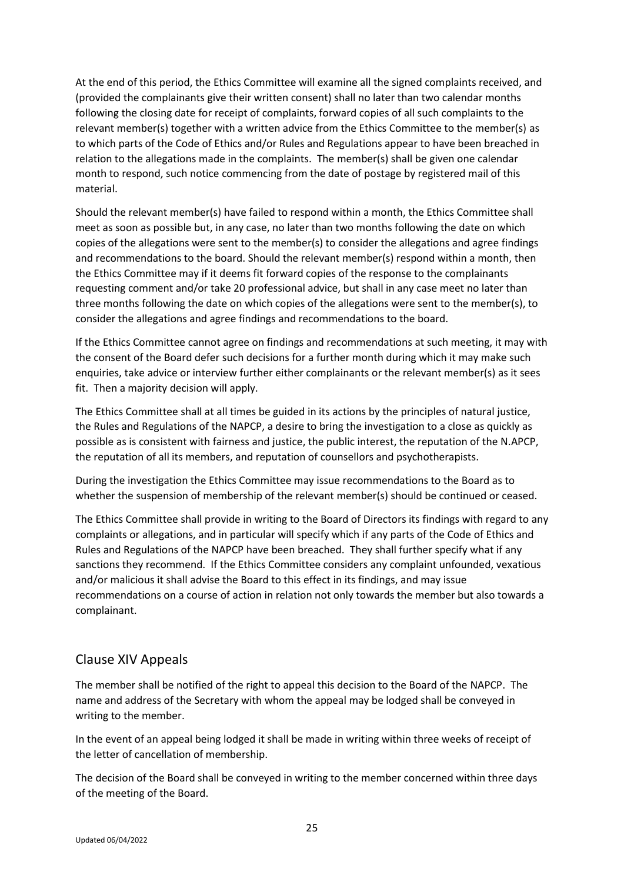At the end of this period, the Ethics Committee will examine all the signed complaints received, and (provided the complainants give their written consent) shall no later than two calendar months following the closing date for receipt of complaints, forward copies of all such complaints to the relevant member(s) together with a written advice from the Ethics Committee to the member(s) as to which parts of the Code of Ethics and/or Rules and Regulations appear to have been breached in relation to the allegations made in the complaints. The member(s) shall be given one calendar month to respond, such notice commencing from the date of postage by registered mail of this material.

Should the relevant member(s) have failed to respond within a month, the Ethics Committee shall meet as soon as possible but, in any case, no later than two months following the date on which copies of the allegations were sent to the member(s) to consider the allegations and agree findings and recommendations to the board. Should the relevant member(s) respond within a month, then the Ethics Committee may if it deems fit forward copies of the response to the complainants requesting comment and/or take 20 professional advice, but shall in any case meet no later than three months following the date on which copies of the allegations were sent to the member(s), to consider the allegations and agree findings and recommendations to the board.

If the Ethics Committee cannot agree on findings and recommendations at such meeting, it may with the consent of the Board defer such decisions for a further month during which it may make such enquiries, take advice or interview further either complainants or the relevant member(s) as it sees fit. Then a majority decision will apply.

The Ethics Committee shall at all times be guided in its actions by the principles of natural justice, the Rules and Regulations of the NAPCP, a desire to bring the investigation to a close as quickly as possible as is consistent with fairness and justice, the public interest, the reputation of the N.APCP, the reputation of all its members, and reputation of counsellors and psychotherapists.

During the investigation the Ethics Committee may issue recommendations to the Board as to whether the suspension of membership of the relevant member(s) should be continued or ceased.

The Ethics Committee shall provide in writing to the Board of Directors its findings with regard to any complaints or allegations, and in particular will specify which if any parts of the Code of Ethics and Rules and Regulations of the NAPCP have been breached. They shall further specify what if any sanctions they recommend. If the Ethics Committee considers any complaint unfounded, vexatious and/or malicious it shall advise the Board to this effect in its findings, and may issue recommendations on a course of action in relation not only towards the member but also towards a complainant.

## Clause XIV Appeals

The member shall be notified of the right to appeal this decision to the Board of the NAPCP. The name and address of the Secretary with whom the appeal may be lodged shall be conveyed in writing to the member.

In the event of an appeal being lodged it shall be made in writing within three weeks of receipt of the letter of cancellation of membership.

The decision of the Board shall be conveyed in writing to the member concerned within three days of the meeting of the Board.